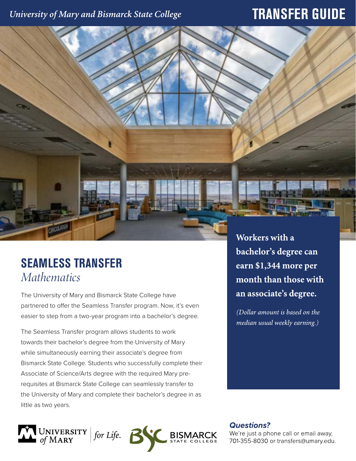## University of Mary and Bismarck State College

## **TRANSFER GUIDE**

# **SEAMLESS TRANSFER** *Mathematics*

The University of Mary and Bismarck State College have partnered to offer the Seamless Transfer program. Now, it's even easier to step from a two-year program into a bachelor's degree.

The Seamless Transfer program allows students to work towards their bachelor's degree from the University of Mary while simultaneously earning their associate's degree from Bismarck State College. Students who successfully complete their Associate of Science/Arts degree with the required Mary prerequisites at Bismarck State College can seamlessly transfer to the University of Mary and complete their bachelor's degree in as little as two years.



Workers with a bachelor's degree can earn \$1,344 more per month than those with an associate's degree.

(Dollar amount is based on the median usual weekly earning.)

**Questions?** 

We're just a phone call or email away, 701-355-8030 or transfers@umary.edu.